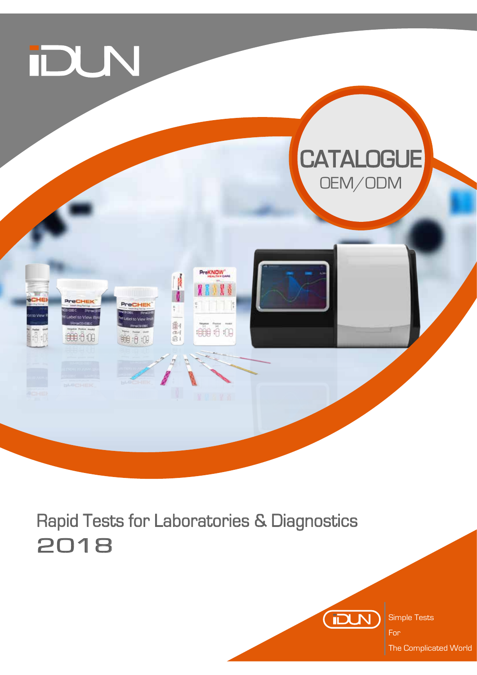

# Rapid Tests for Laboratories & Diagnostics 2018



Simple Tests

The Complicated World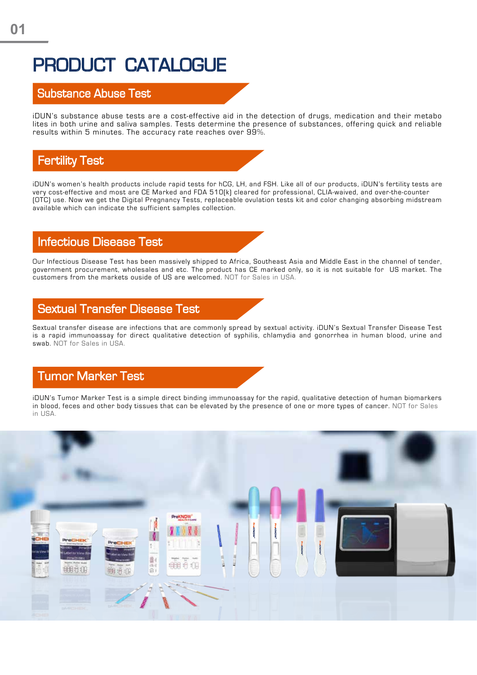# PRODUCT CATALOGUE

#### Substance Abuse Test

iDUN's substance abuse tests are a cost-effective aid in the detection of drugs, medication and their metabo lites in both urine and saliva samples. Tests determine the presence of substances, offering quick and reliable results within 5 minutes. The accuracy rate reaches over 99%.

#### Fertility Test

iDUN's women's health products include rapid tests for hCG, LH, and FSH. Like all of our products, iDUN's fertility tests are very cost-effective and most are CE Marked and FDA 510(k) cleared for professional, CLIA-waived, and over-the-counter (OTC) use. Now we get the Digital Pregnancy Tests, replaceable ovulation tests kit and color changing absorbing midstream available which can indicate the sufficient samples collection.

#### Infectious Disease Test

Our Infectious Disease Test has been massively shipped to Africa, Southeast Asia and Middle East in the channel of tender, government procurement, wholesales and etc. The product has CE marked only, so it is not suitable for US market. The customers from the markets ouside of US are welcomed. NOT for Sales in USA.

#### Sextual Transfer Disease Test

Sextual transfer disease are infections that are commonly spread by sextual activity. iDUN's Sextual Transfer Disease Test is a rapid immunoassay for direct qualitative detection of syphilis, chlamydia and gonorrhea in human blood, urine and swab. NOT for Sales in USA.

#### Tumor Marker Test

iDUN's Tumor Marker Test is a simple direct binding immunoassay for the rapid, qualitative detection of human biomarkers in blood, feces and other body tissues that can be elevated by the presence of one or more types of cancer. NOT for Sales in USA.

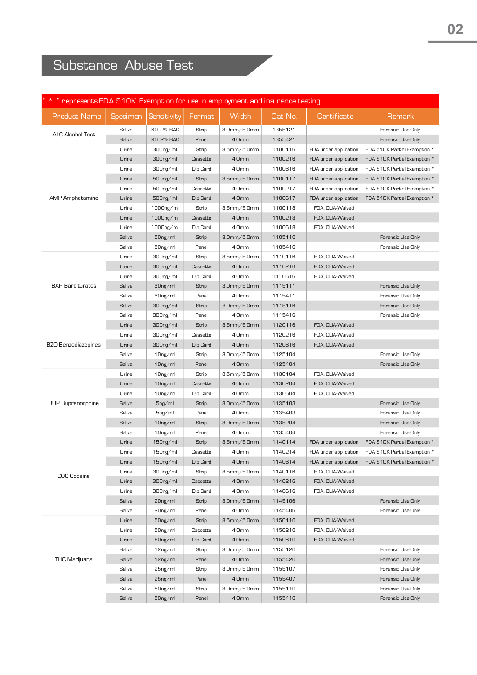## Substance Abuse Test

| * * " represents FDA 510K Examption for use in employment and insurance testing. |          |                      |          |                    |         |                       |                              |
|----------------------------------------------------------------------------------|----------|----------------------|----------|--------------------|---------|-----------------------|------------------------------|
| <b>Product Name</b>                                                              | Specimen | Sensitivity          | Format   | Width              | Cat No. | Certificate           | Remark                       |
| <b>ALC Alcohol Test</b>                                                          | Saliva   | >0.02% BAC           | Strip    | 3.0mm/5.0mm        | 1355121 |                       | Forensic Use Only            |
|                                                                                  | Saliva   | >0.02% BAC           | Panel    | 4.0mm              | 1355421 |                       | Forensic Use Only            |
|                                                                                  | Urine    | 300ng/ml             | Strip    | 3.5mm/5.0mm        | 1100116 | FDA under application | FDA 510K Partial Examption * |
|                                                                                  | Urine    | 300ng/ml             | Cassette | 4.0mm              | 1100216 | FDA under application | FDA 510K Partial Examption * |
|                                                                                  | Urine    | 300ng/ml             | Dip Card | 4.0mm              | 1100616 | FDA under application | FDA 510K Partial Examption * |
|                                                                                  | Urine    | 500ng/ml             | Strip    | $3.5$ mm $/5.0$ mm | 1100117 | FDA under application | FDA 510K Partial Examption * |
|                                                                                  | Urine    | 500ng/ml             | Cassette | 4.0mm              | 1100217 | FDA under application | FDA 510K Partial Examption * |
| <b>AMP</b> Amphetamine                                                           | Urine    | 500ng/ml             | Dip Card | 4.0mm              | 1100617 | FDA under application | FDA 510K Partial Examption * |
|                                                                                  | Urine    | 1000ng/ml            | Strip    | 3.5mm/5.0mm        | 1100118 | FDA, CLIA-Waived      |                              |
|                                                                                  | Urine    | $1000$ ng/ml         | Cassette | 4.0mm              | 1100218 | FDA, CLIA-Waived      |                              |
|                                                                                  | Urine    | 1000ng/ml            | Dip Card | 4.0mm              | 1100618 | FDA, CLIA-Waived      |                              |
|                                                                                  | Saliva   | $50ng$ ml            | Strip    | $3.0$ mm $/5.0$ mm | 1105110 |                       | Forensic Use Only            |
|                                                                                  | Saliva   | 50ng/ml              | Panel    | 4.0mm              | 1105410 |                       | Forensic Use Only            |
|                                                                                  | Urine    | 300ng/ml             | Strip    | 3.5mm/5.0mm        | 1110116 | FDA, CLIA-Waived      |                              |
|                                                                                  | Urine    | 300ng/ml             | Cassette | 4.0mm              | 1110216 | FDA, CLIA-Waived      |                              |
|                                                                                  | Urine    | 300ng/ml             | Dip Card | 4.0mm              | 1110616 | FDA, CLIA-Waived      |                              |
| <b>BAR Barbiturates</b>                                                          | Saliva   | 60 <sub>ng/ml</sub>  | Strip    | $3.0$ mm $/5.0$ mm | 1115111 |                       | Forensic Use Only            |
|                                                                                  | Saliva   | 60ng/ml              | Panel    | 4.0mm              | 1115411 |                       | Forensic Use Only            |
|                                                                                  | Saliva   | 300ng/ml             | Strip    | $3.0$ mm $/5.0$ mm | 1115116 |                       | Forensic Use Only            |
|                                                                                  | Saliva   | 300ng/ml             | Panel    | 4.0mm              | 1115416 |                       | Forensic Use Only            |
|                                                                                  | Urine    | 300ng/ml             | Strip    | 3.5mm/5.0mm        | 1120116 | FDA, CLIA-Waived      |                              |
|                                                                                  | Urine    | 300ng/ml             | Cassette | 4.0mm              | 1120216 | FDA, CLIA-Waived      |                              |
| <b>BZO Benzodiazepines</b>                                                       | Urine    | 300ng/ml             | Dip Card | 4.0mm              | 1120616 | FDA, CLIA-Waived      |                              |
|                                                                                  | Saliva   | 10 <sub>ng/ml</sub>  | Strip    | 3.0mm/5.0mm        | 1125104 |                       | Forensic Use Only            |
|                                                                                  | Saliva   | $10ng$ /ml           | Panel    | 4.0mm              | 1125404 |                       | Forensic Use Only            |
|                                                                                  | Urine    | $10ng$ ml            | Strip    | $3.5$ mm $/5.0$ mm | 1130104 | FDA, CLIA-Waived      |                              |
|                                                                                  | Urine    | $10ng$ /ml           | Cassette | 4.0mm              | 1130204 | FDA, CLIA-Waived      |                              |
|                                                                                  | Urine    | $10ng$ /ml           | Dip Card | 4.0mm              | 1130604 | FDA, CLIA-Waived      |                              |
| <b>BUP Buprenorphine</b>                                                         | Saliva   | $5ng$ /ml            | Strip    | 3.0mm/5.0mm        | 1135103 |                       | Forensic Use Only            |
|                                                                                  | Saliva   | $5ng$ /ml            | Panel    | 4.0mm              | 1135403 |                       | Forensic Use Only            |
|                                                                                  | Saliva   | $10ng$ /ml           | Strip    | 3.0mm/5.0mm        | 1135204 |                       | Forensic Use Only            |
|                                                                                  | Saliva   | $10ng$ /ml           | Panel    | 4.0mm              | 1135404 |                       | Forensic Use Only            |
|                                                                                  | Urine    | $150ng$ ml           | Strip    | 3.5mm/5.0mm        | 1140114 | FDA under application | FDA 510K Partial Examption * |
|                                                                                  | Urine    | 150ng/ml             | Cassette | 4.0mm              | 1140214 | FDA under application | FDA 510K Partial Examption * |
|                                                                                  | Urine    | 150ng/ml             | Dip Card | 4.0mm              | 1140614 | FDA under application | FDA 510K Partial Examption * |
|                                                                                  | Urine    | 300ng/ml             | Strip    | 3.5mm/5.0mm        | 1140116 | FDA, CLIA-Waived      |                              |
| <b>COC Cocaine</b>                                                               | Urine    | 300ng/ml             | Cassette | 4.0mm              | 1140216 | FDA, CLIA-Waived      |                              |
|                                                                                  | Urine    | 300ng/ml             | Dip Card | 4.0mm              | 1140616 | FDA, CLIA-Waived      |                              |
|                                                                                  | Saliva   | 20ng/ml              | Strip    | $3.0$ mm $/5.0$ mm | 1145106 |                       | Forensic Use Only            |
|                                                                                  | Saliva   | 20ng/ml              | Panel    | 4.0mm              | 1145406 |                       | Forensic Use Only            |
|                                                                                  | Urine    | 50 <sub>ng</sub> /ml | Strip    | $3.5$ mm $/5.0$ mm | 1150110 | FDA, CLIA-Waived      |                              |
|                                                                                  | Urine    | 50ng/ml              | Cassette | 4.0mm              | 1150210 | FDA, CLIA-Waived      |                              |
|                                                                                  | Urine    | 50ng/ml              | Dip Card | 4.0mm              | 1150610 | FDA, CLIA-Waived      |                              |
|                                                                                  | Saliva   | 12 <sub>ng/ml</sub>  | Strip    | 3.0mm/5.0mm        | 1155120 |                       | Forensic Use Only            |
| <b>THC Marijuana</b>                                                             | Saliva   | 12 <sub>ng/ml</sub>  | Panel    | 4.0mm              | 1155420 |                       | Forensic Use Only            |
|                                                                                  | Saliva   | 25ng/ml              | Strip    | 3.0mm/5.0mm        | 1155107 |                       | Forensic Use Only            |
|                                                                                  | Saliva   | 25ng/ml              | Panel    | 4.0mm              | 1155407 |                       | Forensic Use Only            |
|                                                                                  | Saliva   | 50ng/ml              | Strip    | 3.0mm/5.0mm        | 1155110 |                       | Forensic Use Only            |
|                                                                                  | Saliva   | 50ng/ml              | Panel    | 4.0mm              | 1155410 |                       | Forensic Use Only            |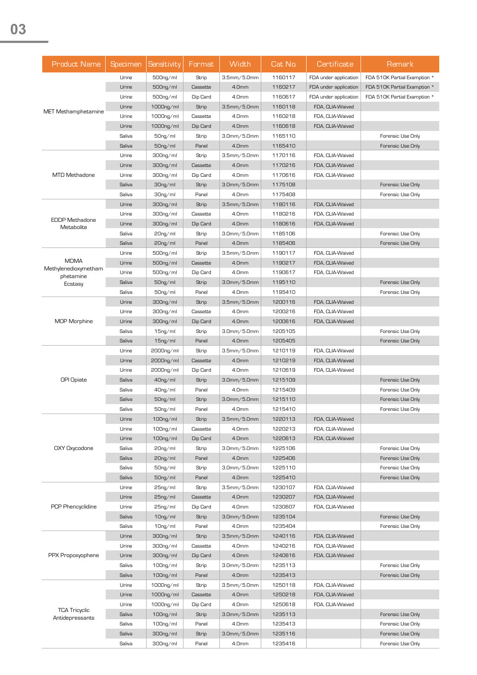| Urine<br>500ng/ml<br>3.5mm/5.0mm<br>1160117<br>FDA under application<br>FDA 510K Partial Examption *<br>Strip<br>Urine<br>Cassette<br>4.0mm<br>1160217<br>FDA under application<br>FDA 510K Partial Examption *<br>$500$ ng/ml<br>4.0mm<br>Urine<br>500ng/ml<br>Dip Card<br>1160617<br>FDA under application<br>FDA 510K Partial Examption *<br>Urine<br>3.5mm/5.0mm<br>1160118<br>1000ng/ml<br>Strip<br>FDA, CLIA-Waived<br>MET Methamphetamine<br>Urine<br>Cassette<br>1160218<br>1000ng/ml<br>4.0mm<br>FDA, CLIA-Waived<br>Urine<br>Dip Card<br>4.0mm<br>1160618<br>1000ng/ml<br>FDA, CLIA-Waived<br>Saliva<br>3.0mm/5.0mm<br>$50ng$ ml<br>1165110<br>Forensic Use Only<br>Strip<br>Saliva<br>Panel<br>4.0mm<br>1165410<br>Forensic Use Only<br>50ng/ml<br>Urine<br>3.5mm/5.0mm<br>300ng/ml<br>Strip<br>1170116<br>FDA, CLIA-Waived<br>Urine<br>Cassette<br>4.0mm<br>1170216<br>FDA, CLIA-Waived<br>300ng/ml<br><b>MTD Methadone</b><br>4.0mm<br>Urine<br>300ng/ml<br>Dip Card<br>1170616<br>FDA, CLIA-Waived<br>Saliva<br>3.0mm/5.0mm<br>1175108<br>Forensic Use Only<br>$30ng$ ml<br>Strip<br>Saliva<br>Panel<br>4.0mm<br>1175408<br>Forensic Use Only<br>30ng/ml<br>Urine<br>Strip<br>3.5mm/5.0mm<br>1180116<br>FDA, CLIA-Waived<br>300ng/ml<br>Urine<br>300ng/ml<br>Cassette<br>4.0mm<br>1180216<br>FDA, CLIA-Waived<br><b>EDDP Methadone</b><br>Urine<br>Dip Card<br>4.0mm<br>1180616<br>FDA, CLIA-Waived<br>300ng/ml<br>Metabolite<br>Saliva<br>3.0mm/5.0mm<br>1185106<br>Forensic Use Only<br>20ng/ml<br>Strip<br>Saliva<br>4.0mm<br>Forensic Use Only<br>$20ng$ /ml<br>Panel<br>1185406<br>3.5mm/5.0mm<br>Urine<br>500ng/ml<br>Strip<br>1190117<br>FDA, CLIA-Waived<br><b>MDMA</b><br>Urine<br>4.0mm<br>FDA, CLIA-Waived<br>$500$ ng/ml<br>Cassette<br>1190217<br>Methylenedioxymetham<br>Urine<br>Dip Card<br>4.0mm<br>1190617<br>500ng/ml<br>FDA, CLIA-Waived<br>phetamine<br>Saliva<br>3.0mm/5.0mm<br>1195110<br>Forensic Use Only<br>$50ng$ ml<br>Strip<br>Ecstasy<br>4.0mm<br>Saliva<br>$50ng$ ml<br>Panel<br>1195410<br>Forensic Use Only<br>Urine<br>3.5mm/5.0mm<br>FDA, CLIA-Waived<br>300ng/ml<br>Strip<br>1200116<br>Urine<br>4.0mm<br>FDA, CLIA-Waived<br>300ng/ml<br>Cassette<br>1200216<br><b>MOP Morphine</b><br>4.0mm<br>FDA, CLIA-Waived<br>Urine<br>300ng/ml<br>Dip Card<br>1200616<br>Saliva<br>3.0mm/5.0mm<br>Forensic Use Only<br>15 <sub>ng/ml</sub><br>Strip<br>1205105<br>4.0mm<br>Saliva<br>$15ng$ /ml<br>Panel<br>1205405<br>Forensic Use Only<br>Urine<br>2000ng/ml<br>Strip<br>$3.5$ mm $/5.0$ mm<br>1210119<br>FDA, CLIA-Waived<br>FDA, CLIA-Waived<br>Urine<br>2000ng/ml<br>Cassette<br>4.0mm<br>1210219<br>Urine<br>Dip Card<br>4.0mm<br>1210619<br>FDA, CLIA-Waived<br>2000ng/ml<br><b>OPI Opiate</b><br>Saliva<br>3.0mm/5.0mm<br>Forensic Use Only<br>40ng/ml<br>Strip<br>1215109<br>Saliva<br>Panel<br>4.0mm<br>Forensic Use Only<br>40ng/ml<br>1215409<br>Saliva<br>$50ng$ ml<br>3.0mm/5.0mm<br>1215110<br>Forensic Use Only<br>Strip<br>Saliva<br>Panel<br>50ng/ml<br>4.0mm<br>1215410<br>Forensic Use Only<br>Urine<br>100ng/ml<br>$3.5$ mm $/5.0$ mm<br>1220113<br>FDA, CLIA-Waived<br>Strip<br>100ng/ml<br>Urine<br>Cassette<br>4.0mm<br>1220213<br>FDA, CLIA-Waived<br>Urine<br>100ng/ml<br>Dip Card<br>4.0mm<br>1220613<br>FDA, CLIA-Waived<br>OXY Oxycodone<br>Saliva<br>3.0mm/5.0mm<br>1225106<br>Forensic Use Only<br>20 <sub>ng/ml</sub><br>Strip<br>Saliva<br>Panel<br>4.0mm<br>$20ng$ ml<br>1225406<br>Forensic Use Only<br>Saliva<br>50ng/ml<br>Strip<br>3.0mm/5.0mm<br>1225110<br>Forensic Use Only<br>Saliva<br>Panel<br>4.0mm<br>1225410<br>Forensic Use Only<br>50ng/ml<br>Urine<br>3.5mm/5.0mm<br>25ng/ml<br>Strip<br>1230107<br>FDA, CLIA-Waived<br>Urine<br>Cassette<br>4.0mm<br>1230207<br>FDA, CLIA-Waived<br>25 <sub>ng/ml</sub><br>PCP Phencyclidine<br>4.0mm<br>Urine<br>25 <sub>ng/ml</sub><br>Dip Card<br>1230607<br>FDA, CLIA-Waived<br>Saliva<br>Strip<br>3.0mm/5.0mm<br>1235104<br>Forensic Use Only<br>$10ng$ /ml<br>Saliva<br>Panel<br>4.0mm<br>1235404<br>$10ng$ /ml<br>Forensic Use Only<br>Urine<br>Strip<br>3.5mm/5.0mm<br>FDA, CLIA-Waived<br>300ng/ml<br>1240116<br>Urine<br>Cassette<br>4.0mm<br>1240216<br>FDA, CLIA-Waived<br>300ng/ml<br>PPX Propoxyophene<br>Urine<br>Dip Card<br>4.0mm<br>1240616<br>FDA, CLIA-Waived<br>300ng/ml<br>Saliva<br>$100ng$ ml<br>Strip<br>3.0mm/5.0mm<br>1235113<br>Forensic Use Only<br>Saliva<br>4.0mm<br>1235413<br>Forensic Use Only<br>$100ng$ ml<br>Panel<br>Urine<br>3.5mm/5.0mm<br>1250118<br>FDA, CLIA-Waived<br>$1000$ ng/ml<br>Strip<br>Urine<br>4.0mm<br>1250218<br>1000ng/ml<br>Cassette<br>FDA, CLIA-Waived<br>Urine<br>Dip Card<br>4.0mm<br>1250618<br>FDA, CLIA-Waived<br>1000ng/ml<br><b>TCA Tricyclic</b><br>Saliva<br>$3.0$ mm $/5.0$ mm<br>1235113<br>Forensic Use Only<br>100ng/ml<br>Strip<br>Antidepressants<br>Saliva<br>Panel<br>4.0mm<br>1235413<br>Forensic Use Only<br>100ng/ml<br>Saliva<br>$3.0$ mm $/5.0$ mm<br>1235116<br>Forensic Use Only<br>300ng/ml<br>Strip<br>Saliva<br>Panel<br>Forensic Use Only<br>300ng/ml<br>4.0mm | <b>Product Name</b> | Specimen | Sensitivity | Format | Width | Cat No. | Certificate | Remark |
|------------------------------------------------------------------------------------------------------------------------------------------------------------------------------------------------------------------------------------------------------------------------------------------------------------------------------------------------------------------------------------------------------------------------------------------------------------------------------------------------------------------------------------------------------------------------------------------------------------------------------------------------------------------------------------------------------------------------------------------------------------------------------------------------------------------------------------------------------------------------------------------------------------------------------------------------------------------------------------------------------------------------------------------------------------------------------------------------------------------------------------------------------------------------------------------------------------------------------------------------------------------------------------------------------------------------------------------------------------------------------------------------------------------------------------------------------------------------------------------------------------------------------------------------------------------------------------------------------------------------------------------------------------------------------------------------------------------------------------------------------------------------------------------------------------------------------------------------------------------------------------------------------------------------------------------------------------------------------------------------------------------------------------------------------------------------------------------------------------------------------------------------------------------------------------------------------------------------------------------------------------------------------------------------------------------------------------------------------------------------------------------------------------------------------------------------------------------------------------------------------------------------------------------------------------------------------------------------------------------------------------------------------------------------------------------------------------------------------------------------------------------------------------------------------------------------------------------------------------------------------------------------------------------------------------------------------------------------------------------------------------------------------------------------------------------------------------------------------------------------------------------------------------------------------------------------------------------------------------------------------------------------------------------------------------------------------------------------------------------------------------------------------------------------------------------------------------------------------------------------------------------------------------------------------------------------------------------------------------------------------------------------------------------------------------------------------------------------------------------------------------------------------------------------------------------------------------------------------------------------------------------------------------------------------------------------------------------------------------------------------------------------------------------------------------------------------------------------------------------------------------------------------------------------------------------------------------------------------------------------------------------------------------------------------------------------------------------------------------------------------------------------------------------------------------------------------------------------------------------------------------------------------------------------------------------------------------------------------------------------------------------------------------------------------------------------------------------------------------------------------------------------------------------------------------------------------------------------------------------------------------------------------------------------------------------------------------------------------------------------------------------------------------------------------------------------------------|---------------------|----------|-------------|--------|-------|---------|-------------|--------|
|                                                                                                                                                                                                                                                                                                                                                                                                                                                                                                                                                                                                                                                                                                                                                                                                                                                                                                                                                                                                                                                                                                                                                                                                                                                                                                                                                                                                                                                                                                                                                                                                                                                                                                                                                                                                                                                                                                                                                                                                                                                                                                                                                                                                                                                                                                                                                                                                                                                                                                                                                                                                                                                                                                                                                                                                                                                                                                                                                                                                                                                                                                                                                                                                                                                                                                                                                                                                                                                                                                                                                                                                                                                                                                                                                                                                                                                                                                                                                                                                                                                                                                                                                                                                                                                                                                                                                                                                                                                                                                                                                                                                                                                                                                                                                                                                                                                                                                                                                                                                                                                                                    |                     |          |             |        |       |         |             |        |
|                                                                                                                                                                                                                                                                                                                                                                                                                                                                                                                                                                                                                                                                                                                                                                                                                                                                                                                                                                                                                                                                                                                                                                                                                                                                                                                                                                                                                                                                                                                                                                                                                                                                                                                                                                                                                                                                                                                                                                                                                                                                                                                                                                                                                                                                                                                                                                                                                                                                                                                                                                                                                                                                                                                                                                                                                                                                                                                                                                                                                                                                                                                                                                                                                                                                                                                                                                                                                                                                                                                                                                                                                                                                                                                                                                                                                                                                                                                                                                                                                                                                                                                                                                                                                                                                                                                                                                                                                                                                                                                                                                                                                                                                                                                                                                                                                                                                                                                                                                                                                                                                                    |                     |          |             |        |       |         |             |        |
|                                                                                                                                                                                                                                                                                                                                                                                                                                                                                                                                                                                                                                                                                                                                                                                                                                                                                                                                                                                                                                                                                                                                                                                                                                                                                                                                                                                                                                                                                                                                                                                                                                                                                                                                                                                                                                                                                                                                                                                                                                                                                                                                                                                                                                                                                                                                                                                                                                                                                                                                                                                                                                                                                                                                                                                                                                                                                                                                                                                                                                                                                                                                                                                                                                                                                                                                                                                                                                                                                                                                                                                                                                                                                                                                                                                                                                                                                                                                                                                                                                                                                                                                                                                                                                                                                                                                                                                                                                                                                                                                                                                                                                                                                                                                                                                                                                                                                                                                                                                                                                                                                    |                     |          |             |        |       |         |             |        |
|                                                                                                                                                                                                                                                                                                                                                                                                                                                                                                                                                                                                                                                                                                                                                                                                                                                                                                                                                                                                                                                                                                                                                                                                                                                                                                                                                                                                                                                                                                                                                                                                                                                                                                                                                                                                                                                                                                                                                                                                                                                                                                                                                                                                                                                                                                                                                                                                                                                                                                                                                                                                                                                                                                                                                                                                                                                                                                                                                                                                                                                                                                                                                                                                                                                                                                                                                                                                                                                                                                                                                                                                                                                                                                                                                                                                                                                                                                                                                                                                                                                                                                                                                                                                                                                                                                                                                                                                                                                                                                                                                                                                                                                                                                                                                                                                                                                                                                                                                                                                                                                                                    |                     |          |             |        |       |         |             |        |
|                                                                                                                                                                                                                                                                                                                                                                                                                                                                                                                                                                                                                                                                                                                                                                                                                                                                                                                                                                                                                                                                                                                                                                                                                                                                                                                                                                                                                                                                                                                                                                                                                                                                                                                                                                                                                                                                                                                                                                                                                                                                                                                                                                                                                                                                                                                                                                                                                                                                                                                                                                                                                                                                                                                                                                                                                                                                                                                                                                                                                                                                                                                                                                                                                                                                                                                                                                                                                                                                                                                                                                                                                                                                                                                                                                                                                                                                                                                                                                                                                                                                                                                                                                                                                                                                                                                                                                                                                                                                                                                                                                                                                                                                                                                                                                                                                                                                                                                                                                                                                                                                                    |                     |          |             |        |       |         |             |        |
|                                                                                                                                                                                                                                                                                                                                                                                                                                                                                                                                                                                                                                                                                                                                                                                                                                                                                                                                                                                                                                                                                                                                                                                                                                                                                                                                                                                                                                                                                                                                                                                                                                                                                                                                                                                                                                                                                                                                                                                                                                                                                                                                                                                                                                                                                                                                                                                                                                                                                                                                                                                                                                                                                                                                                                                                                                                                                                                                                                                                                                                                                                                                                                                                                                                                                                                                                                                                                                                                                                                                                                                                                                                                                                                                                                                                                                                                                                                                                                                                                                                                                                                                                                                                                                                                                                                                                                                                                                                                                                                                                                                                                                                                                                                                                                                                                                                                                                                                                                                                                                                                                    |                     |          |             |        |       |         |             |        |
|                                                                                                                                                                                                                                                                                                                                                                                                                                                                                                                                                                                                                                                                                                                                                                                                                                                                                                                                                                                                                                                                                                                                                                                                                                                                                                                                                                                                                                                                                                                                                                                                                                                                                                                                                                                                                                                                                                                                                                                                                                                                                                                                                                                                                                                                                                                                                                                                                                                                                                                                                                                                                                                                                                                                                                                                                                                                                                                                                                                                                                                                                                                                                                                                                                                                                                                                                                                                                                                                                                                                                                                                                                                                                                                                                                                                                                                                                                                                                                                                                                                                                                                                                                                                                                                                                                                                                                                                                                                                                                                                                                                                                                                                                                                                                                                                                                                                                                                                                                                                                                                                                    |                     |          |             |        |       |         |             |        |
|                                                                                                                                                                                                                                                                                                                                                                                                                                                                                                                                                                                                                                                                                                                                                                                                                                                                                                                                                                                                                                                                                                                                                                                                                                                                                                                                                                                                                                                                                                                                                                                                                                                                                                                                                                                                                                                                                                                                                                                                                                                                                                                                                                                                                                                                                                                                                                                                                                                                                                                                                                                                                                                                                                                                                                                                                                                                                                                                                                                                                                                                                                                                                                                                                                                                                                                                                                                                                                                                                                                                                                                                                                                                                                                                                                                                                                                                                                                                                                                                                                                                                                                                                                                                                                                                                                                                                                                                                                                                                                                                                                                                                                                                                                                                                                                                                                                                                                                                                                                                                                                                                    |                     |          |             |        |       |         |             |        |
|                                                                                                                                                                                                                                                                                                                                                                                                                                                                                                                                                                                                                                                                                                                                                                                                                                                                                                                                                                                                                                                                                                                                                                                                                                                                                                                                                                                                                                                                                                                                                                                                                                                                                                                                                                                                                                                                                                                                                                                                                                                                                                                                                                                                                                                                                                                                                                                                                                                                                                                                                                                                                                                                                                                                                                                                                                                                                                                                                                                                                                                                                                                                                                                                                                                                                                                                                                                                                                                                                                                                                                                                                                                                                                                                                                                                                                                                                                                                                                                                                                                                                                                                                                                                                                                                                                                                                                                                                                                                                                                                                                                                                                                                                                                                                                                                                                                                                                                                                                                                                                                                                    |                     |          |             |        |       |         |             |        |
|                                                                                                                                                                                                                                                                                                                                                                                                                                                                                                                                                                                                                                                                                                                                                                                                                                                                                                                                                                                                                                                                                                                                                                                                                                                                                                                                                                                                                                                                                                                                                                                                                                                                                                                                                                                                                                                                                                                                                                                                                                                                                                                                                                                                                                                                                                                                                                                                                                                                                                                                                                                                                                                                                                                                                                                                                                                                                                                                                                                                                                                                                                                                                                                                                                                                                                                                                                                                                                                                                                                                                                                                                                                                                                                                                                                                                                                                                                                                                                                                                                                                                                                                                                                                                                                                                                                                                                                                                                                                                                                                                                                                                                                                                                                                                                                                                                                                                                                                                                                                                                                                                    |                     |          |             |        |       |         |             |        |
|                                                                                                                                                                                                                                                                                                                                                                                                                                                                                                                                                                                                                                                                                                                                                                                                                                                                                                                                                                                                                                                                                                                                                                                                                                                                                                                                                                                                                                                                                                                                                                                                                                                                                                                                                                                                                                                                                                                                                                                                                                                                                                                                                                                                                                                                                                                                                                                                                                                                                                                                                                                                                                                                                                                                                                                                                                                                                                                                                                                                                                                                                                                                                                                                                                                                                                                                                                                                                                                                                                                                                                                                                                                                                                                                                                                                                                                                                                                                                                                                                                                                                                                                                                                                                                                                                                                                                                                                                                                                                                                                                                                                                                                                                                                                                                                                                                                                                                                                                                                                                                                                                    |                     |          |             |        |       |         |             |        |
|                                                                                                                                                                                                                                                                                                                                                                                                                                                                                                                                                                                                                                                                                                                                                                                                                                                                                                                                                                                                                                                                                                                                                                                                                                                                                                                                                                                                                                                                                                                                                                                                                                                                                                                                                                                                                                                                                                                                                                                                                                                                                                                                                                                                                                                                                                                                                                                                                                                                                                                                                                                                                                                                                                                                                                                                                                                                                                                                                                                                                                                                                                                                                                                                                                                                                                                                                                                                                                                                                                                                                                                                                                                                                                                                                                                                                                                                                                                                                                                                                                                                                                                                                                                                                                                                                                                                                                                                                                                                                                                                                                                                                                                                                                                                                                                                                                                                                                                                                                                                                                                                                    |                     |          |             |        |       |         |             |        |
|                                                                                                                                                                                                                                                                                                                                                                                                                                                                                                                                                                                                                                                                                                                                                                                                                                                                                                                                                                                                                                                                                                                                                                                                                                                                                                                                                                                                                                                                                                                                                                                                                                                                                                                                                                                                                                                                                                                                                                                                                                                                                                                                                                                                                                                                                                                                                                                                                                                                                                                                                                                                                                                                                                                                                                                                                                                                                                                                                                                                                                                                                                                                                                                                                                                                                                                                                                                                                                                                                                                                                                                                                                                                                                                                                                                                                                                                                                                                                                                                                                                                                                                                                                                                                                                                                                                                                                                                                                                                                                                                                                                                                                                                                                                                                                                                                                                                                                                                                                                                                                                                                    |                     |          |             |        |       |         |             |        |
|                                                                                                                                                                                                                                                                                                                                                                                                                                                                                                                                                                                                                                                                                                                                                                                                                                                                                                                                                                                                                                                                                                                                                                                                                                                                                                                                                                                                                                                                                                                                                                                                                                                                                                                                                                                                                                                                                                                                                                                                                                                                                                                                                                                                                                                                                                                                                                                                                                                                                                                                                                                                                                                                                                                                                                                                                                                                                                                                                                                                                                                                                                                                                                                                                                                                                                                                                                                                                                                                                                                                                                                                                                                                                                                                                                                                                                                                                                                                                                                                                                                                                                                                                                                                                                                                                                                                                                                                                                                                                                                                                                                                                                                                                                                                                                                                                                                                                                                                                                                                                                                                                    |                     |          |             |        |       |         |             |        |
|                                                                                                                                                                                                                                                                                                                                                                                                                                                                                                                                                                                                                                                                                                                                                                                                                                                                                                                                                                                                                                                                                                                                                                                                                                                                                                                                                                                                                                                                                                                                                                                                                                                                                                                                                                                                                                                                                                                                                                                                                                                                                                                                                                                                                                                                                                                                                                                                                                                                                                                                                                                                                                                                                                                                                                                                                                                                                                                                                                                                                                                                                                                                                                                                                                                                                                                                                                                                                                                                                                                                                                                                                                                                                                                                                                                                                                                                                                                                                                                                                                                                                                                                                                                                                                                                                                                                                                                                                                                                                                                                                                                                                                                                                                                                                                                                                                                                                                                                                                                                                                                                                    |                     |          |             |        |       |         |             |        |
|                                                                                                                                                                                                                                                                                                                                                                                                                                                                                                                                                                                                                                                                                                                                                                                                                                                                                                                                                                                                                                                                                                                                                                                                                                                                                                                                                                                                                                                                                                                                                                                                                                                                                                                                                                                                                                                                                                                                                                                                                                                                                                                                                                                                                                                                                                                                                                                                                                                                                                                                                                                                                                                                                                                                                                                                                                                                                                                                                                                                                                                                                                                                                                                                                                                                                                                                                                                                                                                                                                                                                                                                                                                                                                                                                                                                                                                                                                                                                                                                                                                                                                                                                                                                                                                                                                                                                                                                                                                                                                                                                                                                                                                                                                                                                                                                                                                                                                                                                                                                                                                                                    |                     |          |             |        |       |         |             |        |
|                                                                                                                                                                                                                                                                                                                                                                                                                                                                                                                                                                                                                                                                                                                                                                                                                                                                                                                                                                                                                                                                                                                                                                                                                                                                                                                                                                                                                                                                                                                                                                                                                                                                                                                                                                                                                                                                                                                                                                                                                                                                                                                                                                                                                                                                                                                                                                                                                                                                                                                                                                                                                                                                                                                                                                                                                                                                                                                                                                                                                                                                                                                                                                                                                                                                                                                                                                                                                                                                                                                                                                                                                                                                                                                                                                                                                                                                                                                                                                                                                                                                                                                                                                                                                                                                                                                                                                                                                                                                                                                                                                                                                                                                                                                                                                                                                                                                                                                                                                                                                                                                                    |                     |          |             |        |       |         |             |        |
|                                                                                                                                                                                                                                                                                                                                                                                                                                                                                                                                                                                                                                                                                                                                                                                                                                                                                                                                                                                                                                                                                                                                                                                                                                                                                                                                                                                                                                                                                                                                                                                                                                                                                                                                                                                                                                                                                                                                                                                                                                                                                                                                                                                                                                                                                                                                                                                                                                                                                                                                                                                                                                                                                                                                                                                                                                                                                                                                                                                                                                                                                                                                                                                                                                                                                                                                                                                                                                                                                                                                                                                                                                                                                                                                                                                                                                                                                                                                                                                                                                                                                                                                                                                                                                                                                                                                                                                                                                                                                                                                                                                                                                                                                                                                                                                                                                                                                                                                                                                                                                                                                    |                     |          |             |        |       |         |             |        |
|                                                                                                                                                                                                                                                                                                                                                                                                                                                                                                                                                                                                                                                                                                                                                                                                                                                                                                                                                                                                                                                                                                                                                                                                                                                                                                                                                                                                                                                                                                                                                                                                                                                                                                                                                                                                                                                                                                                                                                                                                                                                                                                                                                                                                                                                                                                                                                                                                                                                                                                                                                                                                                                                                                                                                                                                                                                                                                                                                                                                                                                                                                                                                                                                                                                                                                                                                                                                                                                                                                                                                                                                                                                                                                                                                                                                                                                                                                                                                                                                                                                                                                                                                                                                                                                                                                                                                                                                                                                                                                                                                                                                                                                                                                                                                                                                                                                                                                                                                                                                                                                                                    |                     |          |             |        |       |         |             |        |
|                                                                                                                                                                                                                                                                                                                                                                                                                                                                                                                                                                                                                                                                                                                                                                                                                                                                                                                                                                                                                                                                                                                                                                                                                                                                                                                                                                                                                                                                                                                                                                                                                                                                                                                                                                                                                                                                                                                                                                                                                                                                                                                                                                                                                                                                                                                                                                                                                                                                                                                                                                                                                                                                                                                                                                                                                                                                                                                                                                                                                                                                                                                                                                                                                                                                                                                                                                                                                                                                                                                                                                                                                                                                                                                                                                                                                                                                                                                                                                                                                                                                                                                                                                                                                                                                                                                                                                                                                                                                                                                                                                                                                                                                                                                                                                                                                                                                                                                                                                                                                                                                                    |                     |          |             |        |       |         |             |        |
|                                                                                                                                                                                                                                                                                                                                                                                                                                                                                                                                                                                                                                                                                                                                                                                                                                                                                                                                                                                                                                                                                                                                                                                                                                                                                                                                                                                                                                                                                                                                                                                                                                                                                                                                                                                                                                                                                                                                                                                                                                                                                                                                                                                                                                                                                                                                                                                                                                                                                                                                                                                                                                                                                                                                                                                                                                                                                                                                                                                                                                                                                                                                                                                                                                                                                                                                                                                                                                                                                                                                                                                                                                                                                                                                                                                                                                                                                                                                                                                                                                                                                                                                                                                                                                                                                                                                                                                                                                                                                                                                                                                                                                                                                                                                                                                                                                                                                                                                                                                                                                                                                    |                     |          |             |        |       |         |             |        |
|                                                                                                                                                                                                                                                                                                                                                                                                                                                                                                                                                                                                                                                                                                                                                                                                                                                                                                                                                                                                                                                                                                                                                                                                                                                                                                                                                                                                                                                                                                                                                                                                                                                                                                                                                                                                                                                                                                                                                                                                                                                                                                                                                                                                                                                                                                                                                                                                                                                                                                                                                                                                                                                                                                                                                                                                                                                                                                                                                                                                                                                                                                                                                                                                                                                                                                                                                                                                                                                                                                                                                                                                                                                                                                                                                                                                                                                                                                                                                                                                                                                                                                                                                                                                                                                                                                                                                                                                                                                                                                                                                                                                                                                                                                                                                                                                                                                                                                                                                                                                                                                                                    |                     |          |             |        |       |         |             |        |
|                                                                                                                                                                                                                                                                                                                                                                                                                                                                                                                                                                                                                                                                                                                                                                                                                                                                                                                                                                                                                                                                                                                                                                                                                                                                                                                                                                                                                                                                                                                                                                                                                                                                                                                                                                                                                                                                                                                                                                                                                                                                                                                                                                                                                                                                                                                                                                                                                                                                                                                                                                                                                                                                                                                                                                                                                                                                                                                                                                                                                                                                                                                                                                                                                                                                                                                                                                                                                                                                                                                                                                                                                                                                                                                                                                                                                                                                                                                                                                                                                                                                                                                                                                                                                                                                                                                                                                                                                                                                                                                                                                                                                                                                                                                                                                                                                                                                                                                                                                                                                                                                                    |                     |          |             |        |       |         |             |        |
|                                                                                                                                                                                                                                                                                                                                                                                                                                                                                                                                                                                                                                                                                                                                                                                                                                                                                                                                                                                                                                                                                                                                                                                                                                                                                                                                                                                                                                                                                                                                                                                                                                                                                                                                                                                                                                                                                                                                                                                                                                                                                                                                                                                                                                                                                                                                                                                                                                                                                                                                                                                                                                                                                                                                                                                                                                                                                                                                                                                                                                                                                                                                                                                                                                                                                                                                                                                                                                                                                                                                                                                                                                                                                                                                                                                                                                                                                                                                                                                                                                                                                                                                                                                                                                                                                                                                                                                                                                                                                                                                                                                                                                                                                                                                                                                                                                                                                                                                                                                                                                                                                    |                     |          |             |        |       |         |             |        |
|                                                                                                                                                                                                                                                                                                                                                                                                                                                                                                                                                                                                                                                                                                                                                                                                                                                                                                                                                                                                                                                                                                                                                                                                                                                                                                                                                                                                                                                                                                                                                                                                                                                                                                                                                                                                                                                                                                                                                                                                                                                                                                                                                                                                                                                                                                                                                                                                                                                                                                                                                                                                                                                                                                                                                                                                                                                                                                                                                                                                                                                                                                                                                                                                                                                                                                                                                                                                                                                                                                                                                                                                                                                                                                                                                                                                                                                                                                                                                                                                                                                                                                                                                                                                                                                                                                                                                                                                                                                                                                                                                                                                                                                                                                                                                                                                                                                                                                                                                                                                                                                                                    |                     |          |             |        |       |         |             |        |
|                                                                                                                                                                                                                                                                                                                                                                                                                                                                                                                                                                                                                                                                                                                                                                                                                                                                                                                                                                                                                                                                                                                                                                                                                                                                                                                                                                                                                                                                                                                                                                                                                                                                                                                                                                                                                                                                                                                                                                                                                                                                                                                                                                                                                                                                                                                                                                                                                                                                                                                                                                                                                                                                                                                                                                                                                                                                                                                                                                                                                                                                                                                                                                                                                                                                                                                                                                                                                                                                                                                                                                                                                                                                                                                                                                                                                                                                                                                                                                                                                                                                                                                                                                                                                                                                                                                                                                                                                                                                                                                                                                                                                                                                                                                                                                                                                                                                                                                                                                                                                                                                                    |                     |          |             |        |       |         |             |        |
|                                                                                                                                                                                                                                                                                                                                                                                                                                                                                                                                                                                                                                                                                                                                                                                                                                                                                                                                                                                                                                                                                                                                                                                                                                                                                                                                                                                                                                                                                                                                                                                                                                                                                                                                                                                                                                                                                                                                                                                                                                                                                                                                                                                                                                                                                                                                                                                                                                                                                                                                                                                                                                                                                                                                                                                                                                                                                                                                                                                                                                                                                                                                                                                                                                                                                                                                                                                                                                                                                                                                                                                                                                                                                                                                                                                                                                                                                                                                                                                                                                                                                                                                                                                                                                                                                                                                                                                                                                                                                                                                                                                                                                                                                                                                                                                                                                                                                                                                                                                                                                                                                    |                     |          |             |        |       |         |             |        |
|                                                                                                                                                                                                                                                                                                                                                                                                                                                                                                                                                                                                                                                                                                                                                                                                                                                                                                                                                                                                                                                                                                                                                                                                                                                                                                                                                                                                                                                                                                                                                                                                                                                                                                                                                                                                                                                                                                                                                                                                                                                                                                                                                                                                                                                                                                                                                                                                                                                                                                                                                                                                                                                                                                                                                                                                                                                                                                                                                                                                                                                                                                                                                                                                                                                                                                                                                                                                                                                                                                                                                                                                                                                                                                                                                                                                                                                                                                                                                                                                                                                                                                                                                                                                                                                                                                                                                                                                                                                                                                                                                                                                                                                                                                                                                                                                                                                                                                                                                                                                                                                                                    |                     |          |             |        |       |         |             |        |
|                                                                                                                                                                                                                                                                                                                                                                                                                                                                                                                                                                                                                                                                                                                                                                                                                                                                                                                                                                                                                                                                                                                                                                                                                                                                                                                                                                                                                                                                                                                                                                                                                                                                                                                                                                                                                                                                                                                                                                                                                                                                                                                                                                                                                                                                                                                                                                                                                                                                                                                                                                                                                                                                                                                                                                                                                                                                                                                                                                                                                                                                                                                                                                                                                                                                                                                                                                                                                                                                                                                                                                                                                                                                                                                                                                                                                                                                                                                                                                                                                                                                                                                                                                                                                                                                                                                                                                                                                                                                                                                                                                                                                                                                                                                                                                                                                                                                                                                                                                                                                                                                                    |                     |          |             |        |       |         |             |        |
|                                                                                                                                                                                                                                                                                                                                                                                                                                                                                                                                                                                                                                                                                                                                                                                                                                                                                                                                                                                                                                                                                                                                                                                                                                                                                                                                                                                                                                                                                                                                                                                                                                                                                                                                                                                                                                                                                                                                                                                                                                                                                                                                                                                                                                                                                                                                                                                                                                                                                                                                                                                                                                                                                                                                                                                                                                                                                                                                                                                                                                                                                                                                                                                                                                                                                                                                                                                                                                                                                                                                                                                                                                                                                                                                                                                                                                                                                                                                                                                                                                                                                                                                                                                                                                                                                                                                                                                                                                                                                                                                                                                                                                                                                                                                                                                                                                                                                                                                                                                                                                                                                    |                     |          |             |        |       |         |             |        |
|                                                                                                                                                                                                                                                                                                                                                                                                                                                                                                                                                                                                                                                                                                                                                                                                                                                                                                                                                                                                                                                                                                                                                                                                                                                                                                                                                                                                                                                                                                                                                                                                                                                                                                                                                                                                                                                                                                                                                                                                                                                                                                                                                                                                                                                                                                                                                                                                                                                                                                                                                                                                                                                                                                                                                                                                                                                                                                                                                                                                                                                                                                                                                                                                                                                                                                                                                                                                                                                                                                                                                                                                                                                                                                                                                                                                                                                                                                                                                                                                                                                                                                                                                                                                                                                                                                                                                                                                                                                                                                                                                                                                                                                                                                                                                                                                                                                                                                                                                                                                                                                                                    |                     |          |             |        |       |         |             |        |
|                                                                                                                                                                                                                                                                                                                                                                                                                                                                                                                                                                                                                                                                                                                                                                                                                                                                                                                                                                                                                                                                                                                                                                                                                                                                                                                                                                                                                                                                                                                                                                                                                                                                                                                                                                                                                                                                                                                                                                                                                                                                                                                                                                                                                                                                                                                                                                                                                                                                                                                                                                                                                                                                                                                                                                                                                                                                                                                                                                                                                                                                                                                                                                                                                                                                                                                                                                                                                                                                                                                                                                                                                                                                                                                                                                                                                                                                                                                                                                                                                                                                                                                                                                                                                                                                                                                                                                                                                                                                                                                                                                                                                                                                                                                                                                                                                                                                                                                                                                                                                                                                                    |                     |          |             |        |       |         |             |        |
|                                                                                                                                                                                                                                                                                                                                                                                                                                                                                                                                                                                                                                                                                                                                                                                                                                                                                                                                                                                                                                                                                                                                                                                                                                                                                                                                                                                                                                                                                                                                                                                                                                                                                                                                                                                                                                                                                                                                                                                                                                                                                                                                                                                                                                                                                                                                                                                                                                                                                                                                                                                                                                                                                                                                                                                                                                                                                                                                                                                                                                                                                                                                                                                                                                                                                                                                                                                                                                                                                                                                                                                                                                                                                                                                                                                                                                                                                                                                                                                                                                                                                                                                                                                                                                                                                                                                                                                                                                                                                                                                                                                                                                                                                                                                                                                                                                                                                                                                                                                                                                                                                    |                     |          |             |        |       |         |             |        |
|                                                                                                                                                                                                                                                                                                                                                                                                                                                                                                                                                                                                                                                                                                                                                                                                                                                                                                                                                                                                                                                                                                                                                                                                                                                                                                                                                                                                                                                                                                                                                                                                                                                                                                                                                                                                                                                                                                                                                                                                                                                                                                                                                                                                                                                                                                                                                                                                                                                                                                                                                                                                                                                                                                                                                                                                                                                                                                                                                                                                                                                                                                                                                                                                                                                                                                                                                                                                                                                                                                                                                                                                                                                                                                                                                                                                                                                                                                                                                                                                                                                                                                                                                                                                                                                                                                                                                                                                                                                                                                                                                                                                                                                                                                                                                                                                                                                                                                                                                                                                                                                                                    |                     |          |             |        |       |         |             |        |
|                                                                                                                                                                                                                                                                                                                                                                                                                                                                                                                                                                                                                                                                                                                                                                                                                                                                                                                                                                                                                                                                                                                                                                                                                                                                                                                                                                                                                                                                                                                                                                                                                                                                                                                                                                                                                                                                                                                                                                                                                                                                                                                                                                                                                                                                                                                                                                                                                                                                                                                                                                                                                                                                                                                                                                                                                                                                                                                                                                                                                                                                                                                                                                                                                                                                                                                                                                                                                                                                                                                                                                                                                                                                                                                                                                                                                                                                                                                                                                                                                                                                                                                                                                                                                                                                                                                                                                                                                                                                                                                                                                                                                                                                                                                                                                                                                                                                                                                                                                                                                                                                                    |                     |          |             |        |       |         |             |        |
|                                                                                                                                                                                                                                                                                                                                                                                                                                                                                                                                                                                                                                                                                                                                                                                                                                                                                                                                                                                                                                                                                                                                                                                                                                                                                                                                                                                                                                                                                                                                                                                                                                                                                                                                                                                                                                                                                                                                                                                                                                                                                                                                                                                                                                                                                                                                                                                                                                                                                                                                                                                                                                                                                                                                                                                                                                                                                                                                                                                                                                                                                                                                                                                                                                                                                                                                                                                                                                                                                                                                                                                                                                                                                                                                                                                                                                                                                                                                                                                                                                                                                                                                                                                                                                                                                                                                                                                                                                                                                                                                                                                                                                                                                                                                                                                                                                                                                                                                                                                                                                                                                    |                     |          |             |        |       |         |             |        |
|                                                                                                                                                                                                                                                                                                                                                                                                                                                                                                                                                                                                                                                                                                                                                                                                                                                                                                                                                                                                                                                                                                                                                                                                                                                                                                                                                                                                                                                                                                                                                                                                                                                                                                                                                                                                                                                                                                                                                                                                                                                                                                                                                                                                                                                                                                                                                                                                                                                                                                                                                                                                                                                                                                                                                                                                                                                                                                                                                                                                                                                                                                                                                                                                                                                                                                                                                                                                                                                                                                                                                                                                                                                                                                                                                                                                                                                                                                                                                                                                                                                                                                                                                                                                                                                                                                                                                                                                                                                                                                                                                                                                                                                                                                                                                                                                                                                                                                                                                                                                                                                                                    |                     |          |             |        |       |         |             |        |
|                                                                                                                                                                                                                                                                                                                                                                                                                                                                                                                                                                                                                                                                                                                                                                                                                                                                                                                                                                                                                                                                                                                                                                                                                                                                                                                                                                                                                                                                                                                                                                                                                                                                                                                                                                                                                                                                                                                                                                                                                                                                                                                                                                                                                                                                                                                                                                                                                                                                                                                                                                                                                                                                                                                                                                                                                                                                                                                                                                                                                                                                                                                                                                                                                                                                                                                                                                                                                                                                                                                                                                                                                                                                                                                                                                                                                                                                                                                                                                                                                                                                                                                                                                                                                                                                                                                                                                                                                                                                                                                                                                                                                                                                                                                                                                                                                                                                                                                                                                                                                                                                                    |                     |          |             |        |       |         |             |        |
|                                                                                                                                                                                                                                                                                                                                                                                                                                                                                                                                                                                                                                                                                                                                                                                                                                                                                                                                                                                                                                                                                                                                                                                                                                                                                                                                                                                                                                                                                                                                                                                                                                                                                                                                                                                                                                                                                                                                                                                                                                                                                                                                                                                                                                                                                                                                                                                                                                                                                                                                                                                                                                                                                                                                                                                                                                                                                                                                                                                                                                                                                                                                                                                                                                                                                                                                                                                                                                                                                                                                                                                                                                                                                                                                                                                                                                                                                                                                                                                                                                                                                                                                                                                                                                                                                                                                                                                                                                                                                                                                                                                                                                                                                                                                                                                                                                                                                                                                                                                                                                                                                    |                     |          |             |        |       |         |             |        |
|                                                                                                                                                                                                                                                                                                                                                                                                                                                                                                                                                                                                                                                                                                                                                                                                                                                                                                                                                                                                                                                                                                                                                                                                                                                                                                                                                                                                                                                                                                                                                                                                                                                                                                                                                                                                                                                                                                                                                                                                                                                                                                                                                                                                                                                                                                                                                                                                                                                                                                                                                                                                                                                                                                                                                                                                                                                                                                                                                                                                                                                                                                                                                                                                                                                                                                                                                                                                                                                                                                                                                                                                                                                                                                                                                                                                                                                                                                                                                                                                                                                                                                                                                                                                                                                                                                                                                                                                                                                                                                                                                                                                                                                                                                                                                                                                                                                                                                                                                                                                                                                                                    |                     |          |             |        |       |         |             |        |
|                                                                                                                                                                                                                                                                                                                                                                                                                                                                                                                                                                                                                                                                                                                                                                                                                                                                                                                                                                                                                                                                                                                                                                                                                                                                                                                                                                                                                                                                                                                                                                                                                                                                                                                                                                                                                                                                                                                                                                                                                                                                                                                                                                                                                                                                                                                                                                                                                                                                                                                                                                                                                                                                                                                                                                                                                                                                                                                                                                                                                                                                                                                                                                                                                                                                                                                                                                                                                                                                                                                                                                                                                                                                                                                                                                                                                                                                                                                                                                                                                                                                                                                                                                                                                                                                                                                                                                                                                                                                                                                                                                                                                                                                                                                                                                                                                                                                                                                                                                                                                                                                                    |                     |          |             |        |       |         |             |        |
|                                                                                                                                                                                                                                                                                                                                                                                                                                                                                                                                                                                                                                                                                                                                                                                                                                                                                                                                                                                                                                                                                                                                                                                                                                                                                                                                                                                                                                                                                                                                                                                                                                                                                                                                                                                                                                                                                                                                                                                                                                                                                                                                                                                                                                                                                                                                                                                                                                                                                                                                                                                                                                                                                                                                                                                                                                                                                                                                                                                                                                                                                                                                                                                                                                                                                                                                                                                                                                                                                                                                                                                                                                                                                                                                                                                                                                                                                                                                                                                                                                                                                                                                                                                                                                                                                                                                                                                                                                                                                                                                                                                                                                                                                                                                                                                                                                                                                                                                                                                                                                                                                    |                     |          |             |        |       |         |             |        |
|                                                                                                                                                                                                                                                                                                                                                                                                                                                                                                                                                                                                                                                                                                                                                                                                                                                                                                                                                                                                                                                                                                                                                                                                                                                                                                                                                                                                                                                                                                                                                                                                                                                                                                                                                                                                                                                                                                                                                                                                                                                                                                                                                                                                                                                                                                                                                                                                                                                                                                                                                                                                                                                                                                                                                                                                                                                                                                                                                                                                                                                                                                                                                                                                                                                                                                                                                                                                                                                                                                                                                                                                                                                                                                                                                                                                                                                                                                                                                                                                                                                                                                                                                                                                                                                                                                                                                                                                                                                                                                                                                                                                                                                                                                                                                                                                                                                                                                                                                                                                                                                                                    |                     |          |             |        |       |         |             |        |
|                                                                                                                                                                                                                                                                                                                                                                                                                                                                                                                                                                                                                                                                                                                                                                                                                                                                                                                                                                                                                                                                                                                                                                                                                                                                                                                                                                                                                                                                                                                                                                                                                                                                                                                                                                                                                                                                                                                                                                                                                                                                                                                                                                                                                                                                                                                                                                                                                                                                                                                                                                                                                                                                                                                                                                                                                                                                                                                                                                                                                                                                                                                                                                                                                                                                                                                                                                                                                                                                                                                                                                                                                                                                                                                                                                                                                                                                                                                                                                                                                                                                                                                                                                                                                                                                                                                                                                                                                                                                                                                                                                                                                                                                                                                                                                                                                                                                                                                                                                                                                                                                                    |                     |          |             |        |       |         |             |        |
|                                                                                                                                                                                                                                                                                                                                                                                                                                                                                                                                                                                                                                                                                                                                                                                                                                                                                                                                                                                                                                                                                                                                                                                                                                                                                                                                                                                                                                                                                                                                                                                                                                                                                                                                                                                                                                                                                                                                                                                                                                                                                                                                                                                                                                                                                                                                                                                                                                                                                                                                                                                                                                                                                                                                                                                                                                                                                                                                                                                                                                                                                                                                                                                                                                                                                                                                                                                                                                                                                                                                                                                                                                                                                                                                                                                                                                                                                                                                                                                                                                                                                                                                                                                                                                                                                                                                                                                                                                                                                                                                                                                                                                                                                                                                                                                                                                                                                                                                                                                                                                                                                    |                     |          |             |        |       |         |             |        |
|                                                                                                                                                                                                                                                                                                                                                                                                                                                                                                                                                                                                                                                                                                                                                                                                                                                                                                                                                                                                                                                                                                                                                                                                                                                                                                                                                                                                                                                                                                                                                                                                                                                                                                                                                                                                                                                                                                                                                                                                                                                                                                                                                                                                                                                                                                                                                                                                                                                                                                                                                                                                                                                                                                                                                                                                                                                                                                                                                                                                                                                                                                                                                                                                                                                                                                                                                                                                                                                                                                                                                                                                                                                                                                                                                                                                                                                                                                                                                                                                                                                                                                                                                                                                                                                                                                                                                                                                                                                                                                                                                                                                                                                                                                                                                                                                                                                                                                                                                                                                                                                                                    |                     |          |             |        |       |         |             |        |
|                                                                                                                                                                                                                                                                                                                                                                                                                                                                                                                                                                                                                                                                                                                                                                                                                                                                                                                                                                                                                                                                                                                                                                                                                                                                                                                                                                                                                                                                                                                                                                                                                                                                                                                                                                                                                                                                                                                                                                                                                                                                                                                                                                                                                                                                                                                                                                                                                                                                                                                                                                                                                                                                                                                                                                                                                                                                                                                                                                                                                                                                                                                                                                                                                                                                                                                                                                                                                                                                                                                                                                                                                                                                                                                                                                                                                                                                                                                                                                                                                                                                                                                                                                                                                                                                                                                                                                                                                                                                                                                                                                                                                                                                                                                                                                                                                                                                                                                                                                                                                                                                                    |                     |          |             |        |       |         |             |        |
|                                                                                                                                                                                                                                                                                                                                                                                                                                                                                                                                                                                                                                                                                                                                                                                                                                                                                                                                                                                                                                                                                                                                                                                                                                                                                                                                                                                                                                                                                                                                                                                                                                                                                                                                                                                                                                                                                                                                                                                                                                                                                                                                                                                                                                                                                                                                                                                                                                                                                                                                                                                                                                                                                                                                                                                                                                                                                                                                                                                                                                                                                                                                                                                                                                                                                                                                                                                                                                                                                                                                                                                                                                                                                                                                                                                                                                                                                                                                                                                                                                                                                                                                                                                                                                                                                                                                                                                                                                                                                                                                                                                                                                                                                                                                                                                                                                                                                                                                                                                                                                                                                    |                     |          |             |        |       |         |             |        |
|                                                                                                                                                                                                                                                                                                                                                                                                                                                                                                                                                                                                                                                                                                                                                                                                                                                                                                                                                                                                                                                                                                                                                                                                                                                                                                                                                                                                                                                                                                                                                                                                                                                                                                                                                                                                                                                                                                                                                                                                                                                                                                                                                                                                                                                                                                                                                                                                                                                                                                                                                                                                                                                                                                                                                                                                                                                                                                                                                                                                                                                                                                                                                                                                                                                                                                                                                                                                                                                                                                                                                                                                                                                                                                                                                                                                                                                                                                                                                                                                                                                                                                                                                                                                                                                                                                                                                                                                                                                                                                                                                                                                                                                                                                                                                                                                                                                                                                                                                                                                                                                                                    |                     |          |             |        |       |         |             |        |
|                                                                                                                                                                                                                                                                                                                                                                                                                                                                                                                                                                                                                                                                                                                                                                                                                                                                                                                                                                                                                                                                                                                                                                                                                                                                                                                                                                                                                                                                                                                                                                                                                                                                                                                                                                                                                                                                                                                                                                                                                                                                                                                                                                                                                                                                                                                                                                                                                                                                                                                                                                                                                                                                                                                                                                                                                                                                                                                                                                                                                                                                                                                                                                                                                                                                                                                                                                                                                                                                                                                                                                                                                                                                                                                                                                                                                                                                                                                                                                                                                                                                                                                                                                                                                                                                                                                                                                                                                                                                                                                                                                                                                                                                                                                                                                                                                                                                                                                                                                                                                                                                                    |                     |          |             |        |       |         |             |        |
|                                                                                                                                                                                                                                                                                                                                                                                                                                                                                                                                                                                                                                                                                                                                                                                                                                                                                                                                                                                                                                                                                                                                                                                                                                                                                                                                                                                                                                                                                                                                                                                                                                                                                                                                                                                                                                                                                                                                                                                                                                                                                                                                                                                                                                                                                                                                                                                                                                                                                                                                                                                                                                                                                                                                                                                                                                                                                                                                                                                                                                                                                                                                                                                                                                                                                                                                                                                                                                                                                                                                                                                                                                                                                                                                                                                                                                                                                                                                                                                                                                                                                                                                                                                                                                                                                                                                                                                                                                                                                                                                                                                                                                                                                                                                                                                                                                                                                                                                                                                                                                                                                    |                     |          |             |        |       |         |             |        |
|                                                                                                                                                                                                                                                                                                                                                                                                                                                                                                                                                                                                                                                                                                                                                                                                                                                                                                                                                                                                                                                                                                                                                                                                                                                                                                                                                                                                                                                                                                                                                                                                                                                                                                                                                                                                                                                                                                                                                                                                                                                                                                                                                                                                                                                                                                                                                                                                                                                                                                                                                                                                                                                                                                                                                                                                                                                                                                                                                                                                                                                                                                                                                                                                                                                                                                                                                                                                                                                                                                                                                                                                                                                                                                                                                                                                                                                                                                                                                                                                                                                                                                                                                                                                                                                                                                                                                                                                                                                                                                                                                                                                                                                                                                                                                                                                                                                                                                                                                                                                                                                                                    |                     |          |             |        |       |         |             |        |
|                                                                                                                                                                                                                                                                                                                                                                                                                                                                                                                                                                                                                                                                                                                                                                                                                                                                                                                                                                                                                                                                                                                                                                                                                                                                                                                                                                                                                                                                                                                                                                                                                                                                                                                                                                                                                                                                                                                                                                                                                                                                                                                                                                                                                                                                                                                                                                                                                                                                                                                                                                                                                                                                                                                                                                                                                                                                                                                                                                                                                                                                                                                                                                                                                                                                                                                                                                                                                                                                                                                                                                                                                                                                                                                                                                                                                                                                                                                                                                                                                                                                                                                                                                                                                                                                                                                                                                                                                                                                                                                                                                                                                                                                                                                                                                                                                                                                                                                                                                                                                                                                                    |                     |          |             |        |       |         |             |        |
|                                                                                                                                                                                                                                                                                                                                                                                                                                                                                                                                                                                                                                                                                                                                                                                                                                                                                                                                                                                                                                                                                                                                                                                                                                                                                                                                                                                                                                                                                                                                                                                                                                                                                                                                                                                                                                                                                                                                                                                                                                                                                                                                                                                                                                                                                                                                                                                                                                                                                                                                                                                                                                                                                                                                                                                                                                                                                                                                                                                                                                                                                                                                                                                                                                                                                                                                                                                                                                                                                                                                                                                                                                                                                                                                                                                                                                                                                                                                                                                                                                                                                                                                                                                                                                                                                                                                                                                                                                                                                                                                                                                                                                                                                                                                                                                                                                                                                                                                                                                                                                                                                    |                     |          |             |        |       |         |             |        |
|                                                                                                                                                                                                                                                                                                                                                                                                                                                                                                                                                                                                                                                                                                                                                                                                                                                                                                                                                                                                                                                                                                                                                                                                                                                                                                                                                                                                                                                                                                                                                                                                                                                                                                                                                                                                                                                                                                                                                                                                                                                                                                                                                                                                                                                                                                                                                                                                                                                                                                                                                                                                                                                                                                                                                                                                                                                                                                                                                                                                                                                                                                                                                                                                                                                                                                                                                                                                                                                                                                                                                                                                                                                                                                                                                                                                                                                                                                                                                                                                                                                                                                                                                                                                                                                                                                                                                                                                                                                                                                                                                                                                                                                                                                                                                                                                                                                                                                                                                                                                                                                                                    |                     |          |             |        |       |         |             |        |
|                                                                                                                                                                                                                                                                                                                                                                                                                                                                                                                                                                                                                                                                                                                                                                                                                                                                                                                                                                                                                                                                                                                                                                                                                                                                                                                                                                                                                                                                                                                                                                                                                                                                                                                                                                                                                                                                                                                                                                                                                                                                                                                                                                                                                                                                                                                                                                                                                                                                                                                                                                                                                                                                                                                                                                                                                                                                                                                                                                                                                                                                                                                                                                                                                                                                                                                                                                                                                                                                                                                                                                                                                                                                                                                                                                                                                                                                                                                                                                                                                                                                                                                                                                                                                                                                                                                                                                                                                                                                                                                                                                                                                                                                                                                                                                                                                                                                                                                                                                                                                                                                                    |                     |          |             |        |       |         |             |        |
|                                                                                                                                                                                                                                                                                                                                                                                                                                                                                                                                                                                                                                                                                                                                                                                                                                                                                                                                                                                                                                                                                                                                                                                                                                                                                                                                                                                                                                                                                                                                                                                                                                                                                                                                                                                                                                                                                                                                                                                                                                                                                                                                                                                                                                                                                                                                                                                                                                                                                                                                                                                                                                                                                                                                                                                                                                                                                                                                                                                                                                                                                                                                                                                                                                                                                                                                                                                                                                                                                                                                                                                                                                                                                                                                                                                                                                                                                                                                                                                                                                                                                                                                                                                                                                                                                                                                                                                                                                                                                                                                                                                                                                                                                                                                                                                                                                                                                                                                                                                                                                                                                    |                     |          |             |        |       |         |             |        |
|                                                                                                                                                                                                                                                                                                                                                                                                                                                                                                                                                                                                                                                                                                                                                                                                                                                                                                                                                                                                                                                                                                                                                                                                                                                                                                                                                                                                                                                                                                                                                                                                                                                                                                                                                                                                                                                                                                                                                                                                                                                                                                                                                                                                                                                                                                                                                                                                                                                                                                                                                                                                                                                                                                                                                                                                                                                                                                                                                                                                                                                                                                                                                                                                                                                                                                                                                                                                                                                                                                                                                                                                                                                                                                                                                                                                                                                                                                                                                                                                                                                                                                                                                                                                                                                                                                                                                                                                                                                                                                                                                                                                                                                                                                                                                                                                                                                                                                                                                                                                                                                                                    |                     |          |             |        |       |         |             |        |
|                                                                                                                                                                                                                                                                                                                                                                                                                                                                                                                                                                                                                                                                                                                                                                                                                                                                                                                                                                                                                                                                                                                                                                                                                                                                                                                                                                                                                                                                                                                                                                                                                                                                                                                                                                                                                                                                                                                                                                                                                                                                                                                                                                                                                                                                                                                                                                                                                                                                                                                                                                                                                                                                                                                                                                                                                                                                                                                                                                                                                                                                                                                                                                                                                                                                                                                                                                                                                                                                                                                                                                                                                                                                                                                                                                                                                                                                                                                                                                                                                                                                                                                                                                                                                                                                                                                                                                                                                                                                                                                                                                                                                                                                                                                                                                                                                                                                                                                                                                                                                                                                                    |                     |          |             |        |       | 1235416 |             |        |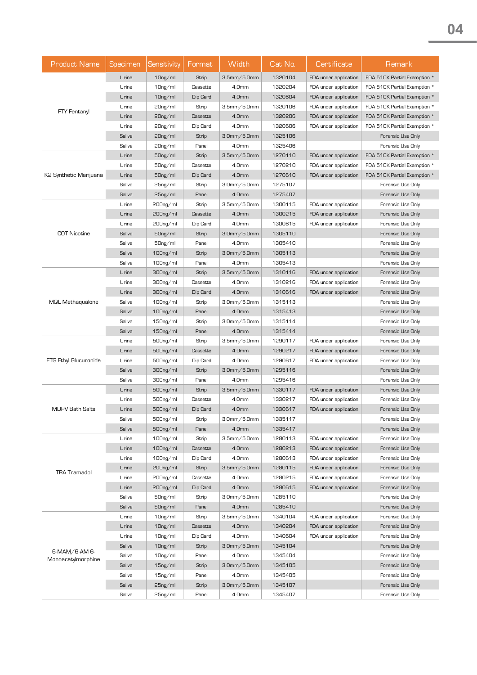| <b>Product Name</b>    | <b>Specimen</b> | Sensitivity          | Format   | Width              | Cat No. | Certificate           | Remark                       |
|------------------------|-----------------|----------------------|----------|--------------------|---------|-----------------------|------------------------------|
|                        | Urine           | 10 <sub>ng</sub> /ml | Strip    | 3.5mm/5.0mm        | 1320104 | FDA under application | FDA 510K Partial Examption * |
|                        | Urine           | $10ng$ /ml           | Cassette | 4.0mm              | 1320204 | FDA under application | FDA 510K Partial Examption * |
|                        | Urine           | $10ng$ /ml           | Dip Card | 4.0mm              | 1320604 | FDA under application | FDA 510K Partial Examption * |
| <b>FTY Fentanyl</b>    | Urine           | $20ng$ /ml           | Strip    | 3.5mm/5.0mm        | 1320106 | FDA under application | FDA 510K Partial Examption * |
|                        | Urine           | $20ng$ /ml           | Cassette | 4.0mm              | 1320206 | FDA under application | FDA 510K Partial Examption * |
|                        | Urine           | 20 <sub>ng/ml</sub>  | Dip Card | 4.0mm              | 1320606 | FDA under application | FDA 510K Partial Examption * |
|                        | Saliva          | $20ng$ /ml           | Strip    | 3.0mm/5.0mm        | 1325106 |                       | Forensic Use Only            |
|                        | Saliva          | 20 <sub>ng/ml</sub>  | Panel    | 4.0mm              | 1325406 |                       | Forensic Use Only            |
|                        | Urine           | $50ng$ ml            | Strip    | $3.5$ mm $/5.0$ mm | 1270110 | FDA under application | FDA 510K Partial Examption * |
|                        | Urine           | $50ng$ ml            | Cassette | 4.0mm              | 1270210 | FDA under application | FDA 510K Partial Examption * |
| K2 Synthetic Marijuana | Urine           | $50ng$ ml            | Dip Card | 4.0mm              | 1270610 | FDA under application | FDA 510K Partial Examption * |
|                        | Saliva          | 25 <sub>ng/ml</sub>  | Strip    | 3.0mm/5.0mm        | 1275107 |                       | Forensic Use Only            |
|                        | Saliva          | 25ng/ml              | Panel    | 4.0mm              | 1275407 |                       | Forensic Use Only            |
|                        | Urine           | $200ng$ ml           | Strip    | 3.5mm/5.0mm        | 1300115 | FDA under application | Forensic Use Only            |
|                        | Urine           | $200ng$ ml           | Cassette | 4.0mm              | 1300215 | FDA under application | Forensic Use Only            |
|                        | Urine           | 200ng/ml             | Dip Card | 4.0mm              | 1300615 | FDA under application | Forensic Use Only            |
| <b>COT Nicotine</b>    | Saliva          | 50ng/ml              | Strip    | $3.0$ mm $/5.0$ mm | 1305110 |                       | Forensic Use Only            |
|                        | Saliva          | $50ng$ ml            | Panel    | 4.0mm              | 1305410 |                       | Forensic Use Only            |
|                        | Saliva          | 100ng/ml             | Strip    | 3.0mm/5.0mm        | 1305113 |                       | Forensic Use Only            |
|                        | Saliva          | $100ng$ ml           | Panel    | 4.0mm              | 1305413 |                       | Forensic Use Only            |
|                        | Urine           | 300ng/ml             | Strip    | $3.5$ mm $/5.0$ mm | 1310116 | FDA under application | Forensic Use Only            |
|                        | Urine           | 300ng/ml             | Cassette | 4.0mm              | 1310216 | FDA under application | Forensic Use Only            |
|                        | Urine           | 300ng/ml             | Dip Card | 4.0mm              | 1310616 | FDA under application | Forensic Use Only            |
| MQL Methaqualone       | Saliva          | 100ng/ml             | Strip    | 3.0mm/5.0mm        | 1315113 |                       | Forensic Use Only            |
|                        | Saliva          | 100ng/ml             | Panel    | 4.0mm              | 1315413 |                       | Forensic Use Only            |
|                        | Saliva          | $150ng$ ml           | Strip    | 3.0mm/5.0mm        | 1315114 |                       | Forensic Use Only            |
|                        | Saliva          | $150ng$ ml           | Panel    | 4.0mm              | 1315414 |                       | Forensic Use Only            |
|                        | Urine           | 500ng/ml             | Strip    | $3.5$ mm $/5.0$ mm | 1290117 | FDA under application | Forensic Use Only            |
|                        | Urine           | $500ng$ ml           | Cassette | 4.0mm              | 1290217 | FDA under application | Forensic Use Only            |
| ETG Ethyl Glucuronide  | Urine           | 500ng/ml             | Dip Card | 4.0mm              | 1290617 | FDA under application | Forensic Use Only            |
|                        | Saliva          | 300ng/ml             | Strip    | $3.0$ mm $/5.0$ mm | 1295116 |                       | Forensic Use Only            |
|                        | Saliva          | 300ng/ml             | Panel    | 4.0mm              | 1295416 |                       | Forensic Use Only            |
|                        | Urine           | 500ng/ml             | Strip    | $3.5$ mm $/5.0$ mm | 1330117 | FDA under application | Forensic Use Only            |
|                        | Urine           | 500ng/ml             | Cassette | 4.0mm              | 1330217 | FDA under application | Forensic Use Only            |
| <b>MDPV Bath Salts</b> | Urine           | $500ng$ ml           | Dip Card | 4.0mm              | 1330617 | FDA under application | Forensic Use Only            |
|                        | Saliva          | 500ng/ml             | Strip    | 3.0mm/5.0mm        | 1335117 |                       | Forensic Use Only            |
|                        | Saliva          | $500ng$ ml           | Panel    | 4.0mm              | 1335417 |                       | Forensic Use Only            |
|                        | Urine           | $100ng$ ml           | Strip    | 3.5mm/5.0mm        | 1280113 | FDA under application | Forensic Use Only            |
|                        | Urine           | $100ng$ ml           | Cassette | 4.0mm              | 1280213 | FDA under application | Forensic Use Only            |
|                        | Urine           | $100ng$ ml           | Dip Card | 4.0mm              | 1280613 | FDA under application | Forensic Use Only            |
| <b>TRA Tramadol</b>    | Urine           | 200 <sub>ng/ml</sub> | Strip    | $3.5$ mm $/5.0$ mm | 1280115 | FDA under application | Forensic Use Only            |
|                        | Urine           | 200ng/ml             | Cassette | 4.0mm              | 1280215 | FDA under application | Forensic Use Only            |
|                        | Urine           | 200ng/ml             | Dip Card | 4.0mm              | 1280615 | FDA under application | Forensic Use Only            |
|                        | Saliva          | $50ng$ ml            | Strip    | 3.0mm/5.0mm        | 1285110 |                       | Forensic Use Only            |
|                        | Saliva          | 50ng/ml              | Panel    | 4.0mm              | 1285410 |                       | Forensic Use Only            |
|                        | Urine           | $10ng$ /ml           | Strip    | 3.5mm/5.0mm        | 1340104 | FDA under application | Forensic Use Only            |
|                        | Urine           | $10ng$ /ml           | Cassette | 4.0mm              | 1340204 | FDA under application | Forensic Use Only            |
|                        | Urine           | $10ng$ /ml           | Dip Card | 4.0mm              | 1340604 | FDA under application | Forensic Use Only            |
| 6-MAM/6-AM 6-          | Saliva          | $10ng$ /ml           | Strip    | $3.0$ mm $/5.0$ mm | 1345104 |                       | Forensic Use Only            |
| Monoacetylmorphine     | Saliva          | 10 <sub>ng/ml</sub>  | Panel    | 4.0mm              | 1345404 |                       | Forensic Use Only            |
|                        | Saliva          | 15 <sub>ng</sub> /ml | Strip    | $3.0$ mm $/5.0$ mm | 1345105 |                       | Forensic Use Only            |
|                        | Saliva          | $15ng$ /ml           | Panel    | 4.0mm              | 1345405 |                       | Forensic Use Only            |
|                        | Saliva          | 25 <sub>ng/ml</sub>  | Strip    | $3.0$ mm $/5.0$ mm | 1345107 |                       | Forensic Use Only            |
|                        | Saliva          | 25 <sub>ng/ml</sub>  | Panel    | 4.0mm              | 1345407 |                       | Forensic Use Only            |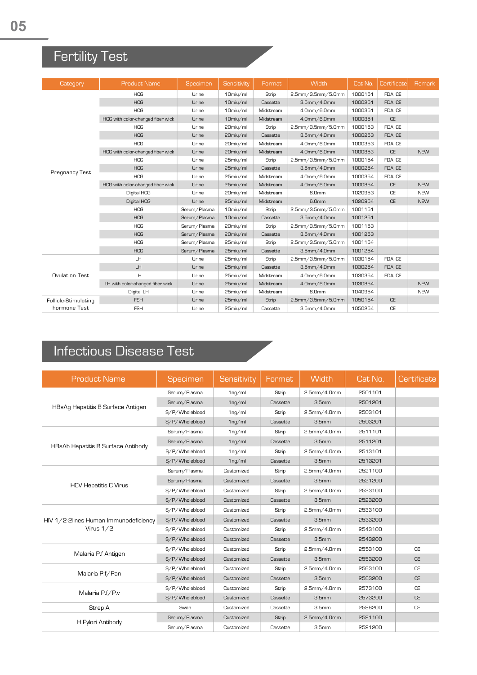## Fertility Test

| Category              | <b>Product Name</b>               | <b>Specimen</b> | Sensitivity | Format    | Width              | Cat No. | Certificate | Remark     |
|-----------------------|-----------------------------------|-----------------|-------------|-----------|--------------------|---------|-------------|------------|
|                       | <b>HCG</b>                        | Urine           | 10miu/ml    | Strip     | 2.5mm/3.5mm/5.0mm  | 1000151 | FDA, CE     |            |
|                       | <b>HCG</b>                        | Urine           | 10miu/ml    | Cassette  | $3.5$ mm $/4.0$ mm | 1000251 | FDA, CE     |            |
|                       | <b>HCG</b>                        | Urine           | 10miu/ml    | Midstream | 4.0mm/6.0mm        | 1000351 | FDA, CE     |            |
|                       | HCG with color-changed fiber wick | Urine           | 10miu/ml    | Midstream | 4.0mm/6.0mm        | 1000851 | <b>CE</b>   |            |
|                       | <b>HCG</b>                        | Urine           | 20miu/ml    | Strip     | 2.5mm/3.5mm/5.0mm  | 1000153 | FDA, CE     |            |
|                       | <b>HCG</b>                        | Urine           | 20miu/ml    | Cassette  | $3.5$ mm $/4.0$ mm | 1000253 | FDA, CE     |            |
|                       | <b>HCG</b>                        | Urine           | 20miu/ml    | Midstream | 4.0mm/6.0mm        | 1000353 | FDA, CE     |            |
|                       | HCG with color-changed fiber wick | Urine           | 20miu/ml    | Midstream | 4.0mm/6.0mm        | 1000853 | <b>CE</b>   | <b>NFW</b> |
|                       | <b>HCG</b>                        | Urine           | 25miu/ml    | Strip     | 2.5mm/3.5mm/5.0mm  | 1000154 | FDA, CE     |            |
|                       | <b>HCG</b>                        | Urine           | 25miu/ml    | Cassette  | $3.5$ mm $/4.0$ mm | 1000254 | FDA, CE     |            |
| Pregnancy Test        | <b>HCG</b>                        | Urine           | 25miu/ml    | Midstream | 4.0mm/6.0mm        | 1000354 | FDA, CE     |            |
|                       | HCG with color-changed fiber wick | Urine           | 25miu/ml    | Midstream | 4.0mm/6.0mm        | 1000854 | <b>CE</b>   | <b>NEW</b> |
|                       | Digital HCG                       | Urine           | 20miu/ml    | Midstream | 6.0mm              | 1020953 | CE          | <b>NEW</b> |
|                       | Digital HCG                       | Urine           | 25miu/ml    | Midstream | 6.0mm              | 1020954 | <b>CE</b>   | <b>NEW</b> |
|                       | <b>HCG</b>                        | Serum/Plasma    | 10miu/ml    | Strip     | 2.5mm/3.5mm/5.0mm  | 1001151 |             |            |
|                       | <b>HCG</b>                        | Serum/Plasma    | 10miu/ml    | Cassette  | $3.5$ mm $/4.0$ mm | 1001251 |             |            |
|                       | <b>HCG</b>                        | Serum/Plasma    | 20miu/ml    | Strip     | 2.5mm/3.5mm/5.0mm  | 1001153 |             |            |
|                       | <b>HCG</b>                        | Serum/Plasma    | 20miu/ml    | Cassette  | $3.5$ mm $/4.0$ mm | 1001253 |             |            |
|                       | <b>HCG</b>                        | Serum/Plasma    | 25miu/ml    | Strip     | 2.5mm/3.5mm/5.0mm  | 1001154 |             |            |
|                       | <b>HCG</b>                        | Serum/Plasma    | 25miu/ml    | Cassette  | 3.5mm/4.0mm        | 1001254 |             |            |
|                       | LH.                               | Urine           | 25miu/ml    | Strip     | 2.5mm/3.5mm/5.0mm  | 1030154 | FDA, CE     |            |
|                       | LH.                               | Urine           | 25miu/ml    | Cassette  | $3.5$ mm $/4.0$ mm | 1030254 | FDA, CE     |            |
| <b>Ovulation Test</b> | LH.                               | Urine           | 25miu/ml    | Midstream | 4.0mm/6.0mm        | 1030354 | FDA, CE     |            |
|                       | LH with color-changed fiber wick  | Urine           | 25miu/ml    | Midstream | 4.0mm/6.0mm        | 1030854 |             | <b>NEW</b> |
|                       | Digital LH                        | Urine           | 25miu/ml    | Midstream | 6.0mm              | 1040954 |             | <b>NFW</b> |
| Follicle-Stimulating  | <b>FSH</b>                        | Urine           | 25miu/ml    | Strip     | 2.5mm/3.5mm/5.0mm  | 1050154 | <b>CE</b>   |            |
| hormone Test          | <b>FSH</b>                        | Urine           | 25miu/ml    | Cassette  | 3.5mm/4.0mm        | 1050254 | <b>CE</b>   |            |

## Infectious Disease Test

| <b>Product Name</b>                   | Specimen       | Sensitivity        | Format   | Width              | Cat No. | Certificate |
|---------------------------------------|----------------|--------------------|----------|--------------------|---------|-------------|
|                                       | Serum/Plasma   | $1ng$ /ml          | Strip    | $2.5$ mm $/4.0$ mm | 2501101 |             |
|                                       | Serum/Plasma   | 1 <sub>ng/ml</sub> | Cassette | 3.5 <sub>mm</sub>  | 2501201 |             |
| HBsAg Hepatitis B Surface Antigen     | S/P/Wholeblood | $1ng$ /ml          | Strip    | $2.5$ mm $/4.0$ mm | 2503101 |             |
|                                       | S/P/Wholeblood | $1ng$ /ml          | Cassette | 3.5 <sub>mm</sub>  | 2503201 |             |
|                                       | Serum/Plasma   | $1ng$ /ml          | Strip    | $2.5$ mm $/4.0$ mm | 2511101 |             |
| HBsAb Hepatitis B Surface Antibody    | Serum/Plasma   | $1ng$ /ml          | Cassette | 3.5 <sub>mm</sub>  | 2511201 |             |
|                                       | S/P/Wholeblood | 1 <sub>ng/ml</sub> | Strip    | $2.5$ mm $/4.0$ mm | 2513101 |             |
|                                       | S/P/Wholeblood | $1ng$ /ml          | Cassette | 3.5 <sub>mm</sub>  | 2513201 |             |
|                                       | Serum/Plasma   | Customized         | Strip    | $2.5$ mm $/4.0$ mm | 2521100 |             |
|                                       | Serum/Plasma   | Customized         | Cassette | 3.5 <sub>mm</sub>  | 2521200 |             |
| <b>HCV Hepatitis C Virus</b>          | S/P/Wholeblood | Customized         | Strip    | $2.5$ mm $/4.0$ mm | 2523100 |             |
|                                       | S/P/Wholeblood | Customized         | Cassette | 3.5 <sub>mm</sub>  | 2523200 |             |
|                                       | S/P/Wholeblood | Customized         | Strip    | $2.5$ mm $/4.0$ mm | 2533100 |             |
| HIV 1/2-2lines Human Immunodeficiency | S/P/Wholeblood | Customized         | Cassette | 3.5 <sub>mm</sub>  | 2533200 |             |
| Virus $1/2$                           | S/P/Wholeblood | Customized         | Strip    | $2.5$ mm $/4.0$ mm | 2543100 |             |
|                                       | S/P/Wholeblood | Customized         | Cassette | 3.5 <sub>mm</sub>  | 2543200 |             |
|                                       | S/P/Wholeblood | Customized         | Strip    | 2.5mm/4.0mm        | 2553100 | <b>CE</b>   |
| Malaria P.f Antigen                   | S/P/Wholeblood | Customized         | Cassette | 3.5 <sub>mm</sub>  | 2553200 | <b>CE</b>   |
|                                       | S/P/Wholeblood | Customized         | Strip    | $2.5$ mm $/4.0$ mm | 2563100 | <b>CE</b>   |
| Malaria P.f/Pan                       | S/P/Wholeblood | Customized         | Cassette | 3.5 <sub>mm</sub>  | 2563200 | <b>CE</b>   |
| Malaria P.f/P.v                       | S/P/Wholeblood | Customized         | Strip    | 2.5mm/4.0mm        | 2573100 | CE          |
|                                       | S/P/Wholeblood | Customized         | Cassette | 3.5 <sub>mm</sub>  | 2573200 | <b>CE</b>   |
| Strep A                               | Swab           | Customized         | Cassette | 3.5 <sub>mm</sub>  | 2586200 | <b>CE</b>   |
|                                       | Serum/Plasma   | Customized         | Strip    | $2.5$ mm $/4.0$ mm | 2591100 |             |
| H.Pylori Antibody                     | Serum/Plasma   | Customized         | Cassette | 3.5 <sub>mm</sub>  | 2591200 |             |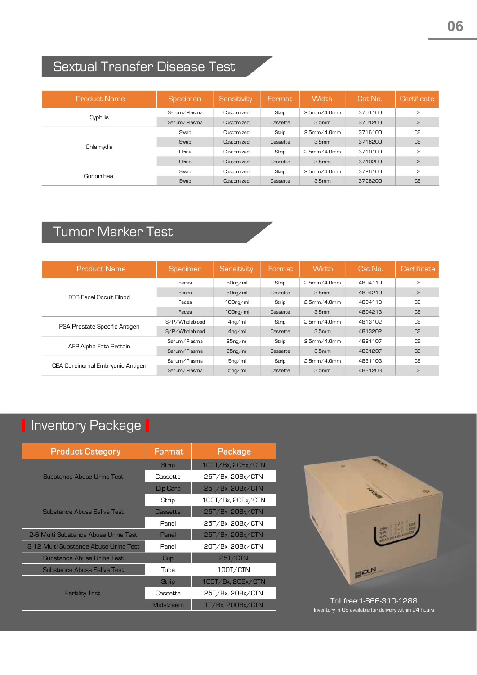## Sextual Transfer Disease Test

| <b>Product Name</b> | <b>Specimen</b> | Sensitivity | <b>Format</b> | <b>Width</b>       | Cat No. | Certificate |
|---------------------|-----------------|-------------|---------------|--------------------|---------|-------------|
| Syphilis            | Serum/Plasma    | Customized  | Strip         | $2.5$ mm $/4.0$ mm | 3701100 | <b>CE</b>   |
|                     | Serum/Plasma    | Customized  | Cassette      | 3.5 <sub>mm</sub>  | 3701200 | <b>CE</b>   |
| Chlamydia           | Swab            | Customized  | Strip         | 2.5mm/4.0mm        | 3716100 | <b>CE</b>   |
|                     | Swab            | Customized  | Cassette      | 3.5 <sub>mm</sub>  | 3716200 | <b>CE</b>   |
|                     | Urine           | Customized  | Strip         | $2.5$ mm $/4.0$ mm | 3710100 | <b>CE</b>   |
|                     | Urine           | Customized  | Cassette      | 3.5 <sub>mm</sub>  | 3710200 | <b>CE</b>   |
| Gonorrhea           | Swab            | Customized  | Strip         | $2.5$ mm $/4.0$ mm | 3726100 | <b>CE</b>   |
|                     | Swab            | Customized  | Cassette      | 3.5 <sub>mm</sub>  | 3726200 | <b>CE</b>   |

### Tumor Marker Test

| Product Name                     | <b>Specimen</b> | Sensitivity          | Format   | <b>Width</b>       | Cat No. | Certificate |
|----------------------------------|-----------------|----------------------|----------|--------------------|---------|-------------|
|                                  | Feces           | $50ng$ ml            | Strip    | 2.5mm/4.0mm        | 4804110 | <b>CF</b>   |
| FOB Fecal Occult Blood           | Feces           | $50ng$ ml            | Cassette | 3.5 <sub>mm</sub>  | 4804210 | <b>CF</b>   |
|                                  | Feces           | 100 <sub>ng/ml</sub> | Strip    | $2.5$ mm $/4.0$ mm | 4804113 | CE          |
|                                  | Feces           | $100ng$ /ml          | Cassette | 3.5 <sub>mm</sub>  | 4804213 | <b>CE</b>   |
| PSA Prostate Specific Antigen    | S/P/Wholeblood  | 4 <sub>ng/ml</sub>   | Strip    | 2.5mm/4.0mm        | 4813102 | CF          |
|                                  | S/P/Wholeblood  | 4 <sub>ng/ml</sub>   | Cassette | 3.5 <sub>mm</sub>  | 4813202 | <b>CE</b>   |
| AFP Alpha Feta Protein           | Serum/Plasma    | 25 <sub>ng/ml</sub>  | Strip    | $2.5$ mm $/4.0$ mm | 4821107 | <b>CF</b>   |
|                                  | Serum/Plasma    | 25 <sub>ng/ml</sub>  | Cassette | 3.5 <sub>mm</sub>  | 4821207 | <b>CE</b>   |
|                                  | Serum/Plasma    | $5ng$ ml             | Strip    | $2.5$ mm $/4.0$ mm | 4831103 | CE          |
| CEA Corcinomal Embryonic Antigen | Serum/Plasma    | $5ng$ /ml            | Cassette | 3.5 <sub>mm</sub>  | 4831203 | <b>CF</b>   |

## I Inventory Package I

| <b>Product Category</b>               | Format       | Package           |
|---------------------------------------|--------------|-------------------|
|                                       | <b>Strip</b> | 100T/Bx, 20Bx/CTN |
| Substance Abuse Urine Test            | Cassette     | 25T/Bx, 20Bx/CTN  |
|                                       | Dip Card     | 25T/Bx, 20Bx/CTN  |
|                                       | Strip        | 100T/Bx, 20Bx/CTN |
| Substance Abuse Saliva Test           | Cassette     | 25T/Bx, 20Bx/CTN  |
|                                       | Panel        | 25T/Bx, 20Bx/CTN  |
| 2-6 Multi Substance Abuse Urine Test  | Panel        | 25T/Bx, 20Bx/CTN  |
| 8-12 Multi Substance Abuse Urine Test | Panel        | 20T/Bx, 20Bx/CTN  |
| Substance Abuse Urine Test            | Cup          | 25T/CTN           |
| <b>Substance Abuse Saliva Test</b>    | Tube         | 100T/CTN          |
|                                       | <b>Strip</b> | 100T/Bx, 20Bx/CTN |
| <b>Fertility Test</b>                 | Cassette     | 25T/Bx, 20Bx/CTN  |
|                                       | Midstream    | 1T/Bx, 200Bx/CTN  |



Inventory in US available for delivery within 24 hours Toll free:1-866-310-1288